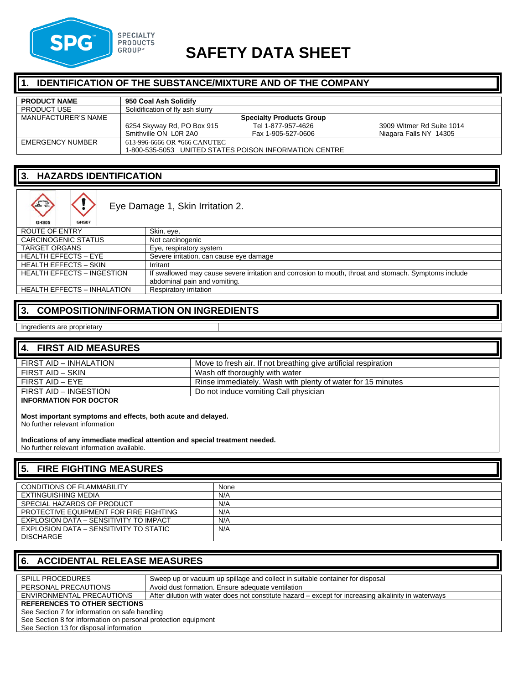

# **SAFETY DATA SHEET**

### **1. IDENTIFICATION OF THE SUBSTANCE/MIXTURE AND OF THE COMPANY**

| <b>PRODUCT NAME</b>     | 950 Coal Ash Solidify                                  |                    |                           |
|-------------------------|--------------------------------------------------------|--------------------|---------------------------|
| <b>PRODUCT USE</b>      | Solidification of fly ash slurry                       |                    |                           |
| MANUFACTURER'S NAME     | <b>Specialty Products Group</b>                        |                    |                           |
|                         | 6254 Skyway Rd, PO Box 915                             | Tel 1-877-957-4626 | 3909 Witmer Rd Suite 1014 |
|                         | Smithville ON LOR 2A0                                  | Fax 1-905-527-0606 | Niagara Falls NY 14305    |
| <b>EMERGENCY NUMBER</b> | 613-996-6666 OR *666 CANUTEC                           |                    |                           |
|                         | 1-800-535-5053 UNITED STATES POISON INFORMATION CENTRE |                    |                           |

### **3. HAZARDS IDENTIFICATION**

| 三<br>GHS07<br>GHS05                | Eye Damage 1, Skin Irritation 2.                                                                                                      |
|------------------------------------|---------------------------------------------------------------------------------------------------------------------------------------|
| ROUTE OF ENTRY                     | Skin, eye,                                                                                                                            |
| <b>CARCINOGENIC STATUS</b>         | Not carcinogenic                                                                                                                      |
| <b>TARGET ORGANS</b>               | Eye, respiratory system                                                                                                               |
| <b>HEALTH EFFECTS - EYE</b>        | Severe irritation, can cause eye damage                                                                                               |
| <b>HEALTH EFFECTS - SKIN</b>       | Irritant                                                                                                                              |
| <b>HEALTH EFFECTS - INGESTION</b>  | If swallowed may cause severe irritation and corrosion to mouth, throat and stomach. Symptoms include<br>abdominal pain and vomiting. |
| <b>HEALTH EFFECTS - INHALATION</b> | Respiratory irritation                                                                                                                |

### **3. COMPOSITION/INFORMATION ON INGREDIENTS**

Ingredients are proprietary

#### **4. FIRST AID MEASURES**

| FIRST AID - INHALATION | Move to fresh air. If not breathing give artificial respiration |
|------------------------|-----------------------------------------------------------------|
| FIRST AID – SKIN       | Wash off thoroughly with water                                  |
| FIRST AID – EYE        | Rinse immediately. Wash with plenty of water for 15 minutes     |
| FIRST AID - INGESTION  | Do not induce vomiting Call physician                           |
|                        |                                                                 |

**INFORMATION FOR DOCTOR**

**Most important symptoms and effects, both acute and delayed.**

No further relevant information

**Indications of any immediate medical attention and special treatment needed.** No further relevant information available.

### **5. FIRE FIGHTING MEASURES**

| <b>CONDITIONS OF FLAMMABILITY</b>      | None |
|----------------------------------------|------|
|                                        |      |
| EXTINGUISHING MEDIA                    | N/A  |
|                                        |      |
| SPECIAL HAZARDS OF PRODUCT             | N/A  |
|                                        |      |
| PROTECTIVE EQUIPMENT FOR FIRE FIGHTING | N/A  |
|                                        |      |
| EXPLOSION DATA - SENSITIVITY TO IMPACT | N/A  |
|                                        |      |
| EXPLOSION DATA – SENSITIVITY TO STATIC | N/A  |
|                                        |      |
| <b>DISCHARGE</b>                       |      |
|                                        |      |

# **6. ACCIDENTAL RELEASE MEASURES**

| <b>SPILL PROCEDURES</b>                                        | Sweep up or vacuum up spillage and collect in suitable container for disposal                        |  |
|----------------------------------------------------------------|------------------------------------------------------------------------------------------------------|--|
|                                                                |                                                                                                      |  |
| PERSONAL PRECAUTIONS                                           | Avoid dust formation. Ensure adequate ventilation                                                    |  |
| ENVIRONMENTAL PRECAUTIONS                                      | After dilution with water does not constitute hazard – except for increasing alkalinity in waterways |  |
|                                                                |                                                                                                      |  |
| <b>REFERENCES TO OTHER SECTIONS</b>                            |                                                                                                      |  |
| See Section 7 for information on safe handling                 |                                                                                                      |  |
|                                                                |                                                                                                      |  |
| See Section 8 for information on personal protection equipment |                                                                                                      |  |
| See Section 13 for disposal information                        |                                                                                                      |  |
|                                                                |                                                                                                      |  |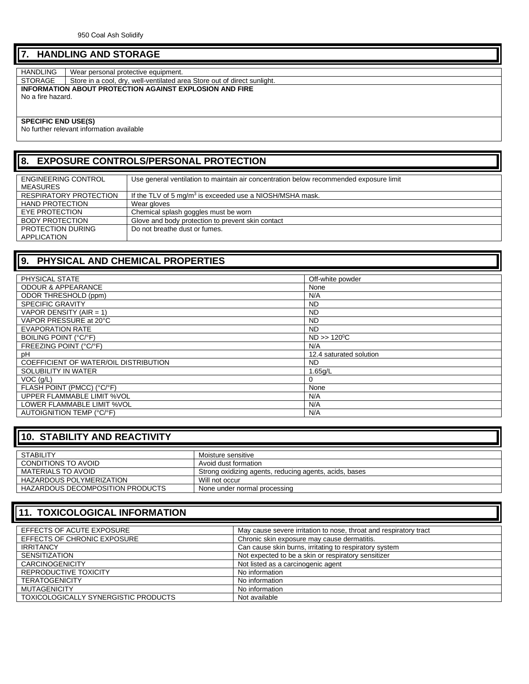### **7. HANDLING AND STORAGE**

HANDLING Wear personal protective equipment.<br>STORAGE Store in a cool, dry, well-ventilated and Store in a cool, dry, well-ventilated area Store out of direct sunlight. **INFORMATION ABOUT PROTECTION AGAINST EXPLOSION AND FIRE** No a fire hazard.

**SPECIFIC END USE(S)** 

No further relevant information available

### **8. EXPOSURE CONTROLS/PERSONAL PROTECTION**

| <b>ENGINEERING CONTROL</b><br>MEASURES | Use general ventilation to maintain air concentration below recommended exposure limit |
|----------------------------------------|----------------------------------------------------------------------------------------|
| <b>RESPIRATORY PROTECTION</b>          | If the TLV of 5 mg/m <sup>3</sup> is exceeded use a NIOSH/MSHA mask.                   |
| <b>HAND PROTECTION</b>                 | Wear gloves                                                                            |
| EYE PROTECTION                         | Chemical splash goggles must be worn                                                   |
| <b>BODY PROTECTION</b>                 | Glove and body protection to prevent skin contact                                      |
| PROTECTION DURING<br>APPLICATION       | Do not breathe dust or fumes.                                                          |

## **9. PHYSICAL AND CHEMICAL PROPERTIES**

| PHYSICAL STATE                        | Off-white powder        |
|---------------------------------------|-------------------------|
| <b>ODOUR &amp; APPEARANCE</b>         | None                    |
| ODOR THRESHOLD (ppm)                  | N/A                     |
| <b>SPECIFIC GRAVITY</b>               | <b>ND</b>               |
| VAPOR DENSITY (AIR = 1)               | <b>ND</b>               |
| VAPOR PRESSURE at 20°C                | <b>ND</b>               |
| <b>EVAPORATION RATE</b>               | <b>ND</b>               |
| BOILING POINT (°C/°F)                 | $ND >> 120^{\circ}C$    |
| FREEZING POINT (°C/°F)                | N/A                     |
| рH                                    | 12.4 saturated solution |
| COEFFICIENT OF WATER/OIL DISTRIBUTION | ND.                     |
| SOLUBILITY IN WATER                   | 1.65q/L                 |
| VOC(q/L)                              | 0                       |
| FLASH POINT (PMCC) (°C/°F)            | None                    |
| UPPER FLAMMABLE LIMIT %VOL            | N/A                     |
| LOWER FLAMMABLE LIMIT %VOL            | N/A                     |
| AUTOIGNITION TEMP (°C/°F)             | N/A                     |

# **10. STABILITY AND REACTIVITY**

| <b>STABILITY</b>                 | Moisture sensitive                                     |
|----------------------------------|--------------------------------------------------------|
| CONDITIONS TO AVOID              | Avoid dust formation                                   |
| MATERIALS TO AVOID               | Strong oxidizing agents, reducing agents, acids, bases |
| HAZARDOUS POLYMERIZATION         | Will not occur                                         |
| HAZARDOUS DECOMPOSITION PRODUCTS | None under normal processing                           |

### **11. TOXICOLOGICAL INFORMATION**

| EFFECTS OF ACUTE EXPOSURE            | May cause severe irritation to nose, throat and respiratory tract |
|--------------------------------------|-------------------------------------------------------------------|
| EFFECTS OF CHRONIC EXPOSURE          | Chronic skin exposure may cause dermatitis.                       |
| <b>IRRITANCY</b>                     | Can cause skin burns, irritating to respiratory system            |
| <b>SENSITIZATION</b>                 | Not expected to be a skin or respiratory sensitizer               |
| <b>CARCINOGENICITY</b>               | Not listed as a carcinogenic agent                                |
| REPRODUCTIVE TOXICITY                | No information                                                    |
| <b>TERATOGENICITY</b>                | No information                                                    |
| <b>MUTAGENICITY</b>                  | No information                                                    |
| TOXICOLOGICALLY SYNERGISTIC PRODUCTS | Not available                                                     |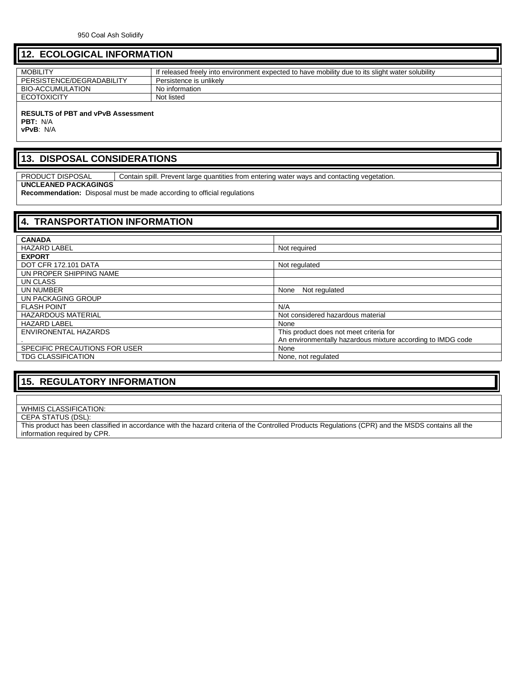#### **12. ECOLOGICAL INFORMATION**

| <b>MOBILITY</b>           | If released freely into environment expected to have mobility due to its slight water solubility |
|---------------------------|--------------------------------------------------------------------------------------------------|
| PERSISTENCE/DEGRADABILITY | Persistence is unlikelv                                                                          |
| BIO-ACCUMULATION          | No information                                                                                   |
| <b>ECOTOXICITY</b>        | Not listed                                                                                       |
|                           |                                                                                                  |

#### **RESULTS of PBT and vPvB Assessment**

**PBT:** N/A

**vPvB**: N/A

### **13. DISPOSAL CONSIDERATIONS**

PRODUCT DISPOSAL Contain spill. Prevent large quantities from entering water ways and contacting vegetation.

#### **UNCLEANED PACKAGINGS**

**Recommendation:** Disposal must be made according to official regulations

| <b>4. TRANSPORTATION INFORMATION</b> |                                                             |  |
|--------------------------------------|-------------------------------------------------------------|--|
|                                      |                                                             |  |
| <b>CANADA</b>                        |                                                             |  |
| <b>HAZARD LABEL</b>                  | Not required                                                |  |
| <b>EXPORT</b>                        |                                                             |  |
| <b>DOT CFR 172.101 DATA</b>          | Not regulated                                               |  |
| UN PROPER SHIPPING NAME              |                                                             |  |
| UN CLASS                             |                                                             |  |
| UN NUMBER                            | None<br>Not regulated                                       |  |
| UN PACKAGING GROUP                   |                                                             |  |
| <b>FLASH POINT</b>                   | N/A                                                         |  |
| <b>HAZARDOUS MATERIAL</b>            | Not considered hazardous material                           |  |
| <b>HAZARD LABEL</b>                  | None                                                        |  |
| ENVIRONENTAL HAZARDS                 | This product does not meet criteria for                     |  |
|                                      | An environmentally hazardous mixture according to IMDG code |  |
| SPECIFIC PRECAUTIONS FOR USER        | None                                                        |  |
| <b>TDG CLASSIFICATION</b>            | None, not regulated                                         |  |

#### **15. REGULATORY INFORMATION**

#### WHMIS CLASSIFICATION:

#### CEPA STATUS (DSL):

This product has been classified in accordance with the hazard criteria of the Controlled Products Regulations (CPR) and the MSDS contains all the information required by CPR.